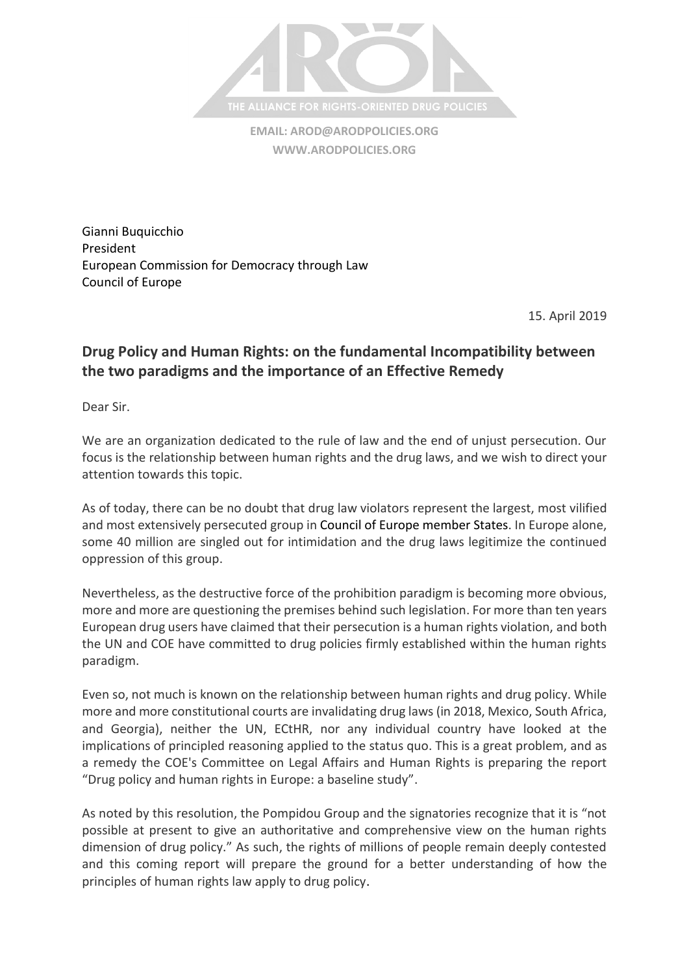

**EMAIL: [AROD@ARODPOLICIES.ORG](mailto:AROD@ARODPOLICIES.ORG) [WWW.ARODPOLICIES.ORG](http://www.arodpolicies.org/)**

Gianni Buquicchio President European Commission for Democracy through Law Council of Europe

15. April 2019

## **Drug Policy and Human Rights: on the fundamental Incompatibility between the two paradigms and the importance of an Effective Remedy**

Dear Sir.

We are an organization dedicated to the rule of law and the end of unjust persecution. Our focus is the relationship between human rights and the drug laws, and we wish to direct your attention towards this topic.

As of today, there can be no doubt that drug law violators represent the largest, most vilified and most extensively persecuted group in Council of Europe member States. In Europe alone, some 40 million are singled out for intimidation and the drug laws legitimize the continued oppression of this group.

Nevertheless, as the destructive force of the prohibition paradigm is becoming more obvious, more and more are questioning the premises behind such legislation. For more than ten years European drug users have claimed that their persecution is a human rights violation, and both the UN and COE have committed to drug policies firmly established within the human rights paradigm.

Even so, not much is known on the relationship between human rights and drug policy. While more and more constitutional courts are invalidating drug laws (in 2018, Mexico, South Africa, and Georgia), neither the UN, ECtHR, nor any individual country have looked at the implications of principled reasoning applied to the status quo. This is a great problem, and as a remedy the COE's Committee on Legal Affairs and Human Rights is preparing the report "Drug policy and human rights in Europe: a baseline study".

As noted by this resolution, the Pompidou Group and the signatories recognize that it is "not possible at present to give an authoritative and comprehensive view on the human rights dimension of drug policy." As such, the rights of millions of people remain deeply contested and this coming report will prepare the ground for a better understanding of how the principles of human rights law apply to drug policy.